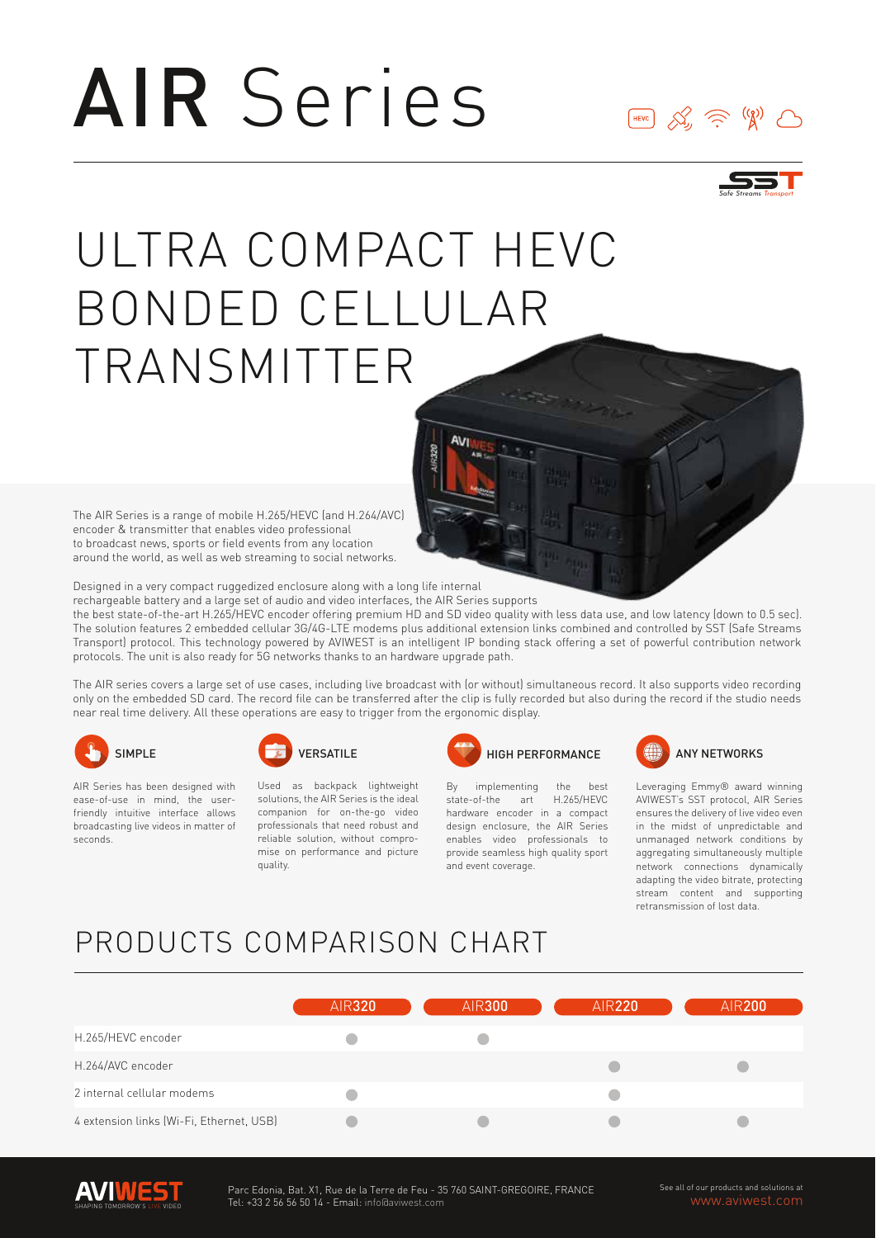# AIR Series





## ULTRA COMPACT HEVC BONDED CELLULAR TRANSMITTER

The AIR Series is a range of mobile H.265/HEVC (and H.264/AVC) encoder & transmitter that enables video professional to broadcast news, sports or field events from any location around the world, as well as web streaming to social networks.

Designed in a very compact ruggedized enclosure along with a long life internal

rechargeable battery and a large set of audio and video interfaces, the AIR Series supports

the best state-of-the-art H.265/HEVC encoder offering premium HD and SD video quality with less data use, and low latency (down to 0.5 sec). The solution features 2 embedded cellular 3G/4G-LTE modems plus additional extension links combined and controlled by SST (Safe Streams Transport) protocol. This technology powered by AVIWEST is an intelligent IP bonding stack offering a set of powerful contribution network protocols. The unit is also ready for 5G networks thanks to an hardware upgrade path.

The AIR series covers a large set of use cases, including live broadcast with (or without) simultaneous record. It also supports video recording only on the embedded SD card. The record file can be transferred after the clip is fully recorded but also during the record if the studio needs near real time delivery. All these operations are easy to trigger from the ergonomic display.



AIR Series has been designed with ease-of-use in mind, the userfriendly intuitive interface allows broadcasting live videos in matter of seconds.



Used as backpack lightweight solutions, the AIR Series is the ideal companion for on-the-go video professionals that need robust and reliable solution, without compromise on performance and picture quality.



By implementing the best state-of-the art H.265/HEVC hardware encoder in a compact design enclosure, the AIR Series enables video professionals to provide seamless high quality sport and event coverage.



Leveraging Emmy® award winning AVIWEST's SST protocol, AIR Series ensures the delivery of live video even in the midst of unpredictable and unmanaged network conditions by aggregating simultaneously multiple network connections dynamically adapting the video bitrate, protecting stream content and supporting retransmission of lost data.

### PRODUCTS COMPARISON CHART

|                                          | <b>AIR320</b> | <b>AIR300</b> | <b>AIR220</b> | <b>AIR200</b> |
|------------------------------------------|---------------|---------------|---------------|---------------|
| H.265/HEVC encoder                       |               |               |               |               |
| H.264/AVC encoder                        |               |               |               |               |
| 2 internal cellular modems               |               |               |               |               |
| 4 extension links (Wi-Fi, Ethernet, USB) |               |               |               |               |



See all of our products and solutions at